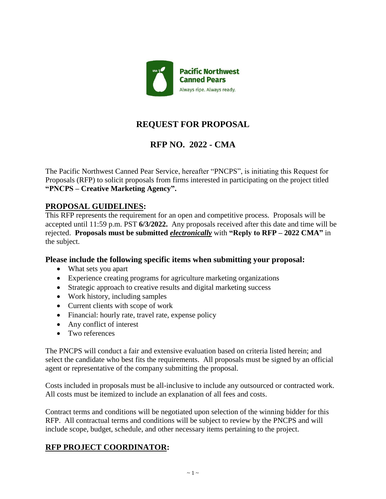

# **REQUEST FOR PROPOSAL**

# **RFP NO. 2022 - CMA**

The Pacific Northwest Canned Pear Service, hereafter "PNCPS", is initiating this Request for Proposals (RFP) to solicit proposals from firms interested in participating on the project titled **"PNCPS – Creative Marketing Agency".**

### **PROPOSAL GUIDELINES:**

This RFP represents the requirement for an open and competitive process. Proposals will be accepted until 11:59 p.m. PST **6/3/2022.** Any proposals received after this date and time will be rejected. **Proposals must be submitted** *electronically* with **"Reply to RFP – 2022 CMA"** in the subject.

#### **Please include the following specific items when submitting your proposal:**

- What sets you apart
- Experience creating programs for agriculture marketing organizations
- Strategic approach to creative results and digital marketing success
- Work history, including samples
- Current clients with scope of work
- Financial: hourly rate, travel rate, expense policy
- Any conflict of interest
- Two references

The PNCPS will conduct a fair and extensive evaluation based on criteria listed herein; and select the candidate who best fits the requirements. All proposals must be signed by an official agent or representative of the company submitting the proposal.

Costs included in proposals must be all-inclusive to include any outsourced or contracted work. All costs must be itemized to include an explanation of all fees and costs.

Contract terms and conditions will be negotiated upon selection of the winning bidder for this RFP. All contractual terms and conditions will be subject to review by the PNCPS and will include scope, budget, schedule, and other necessary items pertaining to the project.

## **RFP PROJECT COORDINATOR:**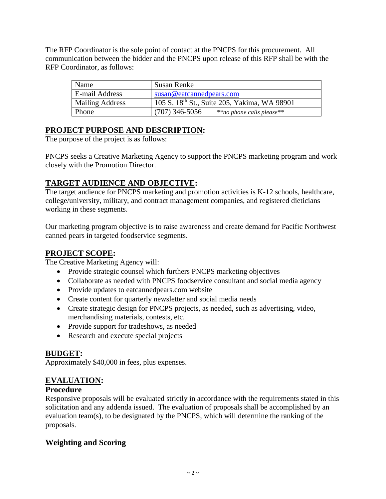The RFP Coordinator is the sole point of contact at the PNCPS for this procurement. All communication between the bidder and the PNCPS upon release of this RFP shall be with the RFP Coordinator, as follows:

| Name                   | Susan Renke                                              |  |
|------------------------|----------------------------------------------------------|--|
| E-mail Address         | susan@eataannedpears.com                                 |  |
| <b>Mailing Address</b> | 105 S. 18 <sup>th</sup> St., Suite 205, Yakima, WA 98901 |  |
| <b>Phone</b>           | $(707)$ 346-5056<br>**no phone calls please**            |  |

## **PROJECT PURPOSE AND DESCRIPTION:**

The purpose of the project is as follows:

PNCPS seeks a Creative Marketing Agency to support the PNCPS marketing program and work closely with the Promotion Director.

## **TARGET AUDIENCE AND OBJECTIVE:**

The target audience for PNCPS marketing and promotion activities is K-12 schools, healthcare, college/university, military, and contract management companies, and registered dieticians working in these segments.

Our marketing program objective is to raise awareness and create demand for Pacific Northwest canned pears in targeted foodservice segments.

### **PROJECT SCOPE:**

The Creative Marketing Agency will:

- Provide strategic counsel which furthers PNCPS marketing objectives
- Collaborate as needed with PNCPS foodservice consultant and social media agency
- Provide updates to eatcannedpears.com website
- Create content for quarterly newsletter and social media needs
- Create strategic design for PNCPS projects, as needed, such as advertising, video, merchandising materials, contests, etc.
- Provide support for tradeshows, as needed
- Research and execute special projects

### **BUDGET:**

Approximately \$40,000 in fees, plus expenses.

## **EVALUATION:**

### **Procedure**

Responsive proposals will be evaluated strictly in accordance with the requirements stated in this solicitation and any addenda issued. The evaluation of proposals shall be accomplished by an evaluation team(s), to be designated by the PNCPS, which will determine the ranking of the proposals.

## **Weighting and Scoring**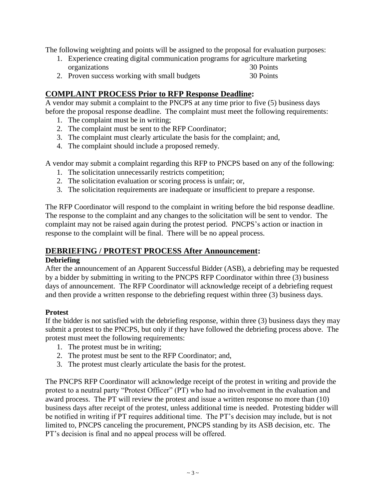The following weighting and points will be assigned to the proposal for evaluation purposes:

| 1. Experience creating digital communication programs for agriculture marketing |           |
|---------------------------------------------------------------------------------|-----------|
| organizations                                                                   | 30 Points |
| 2. Proven success working with small budgets                                    | 30 Points |

### **COMPLAINT PROCESS Prior to RFP Response Deadline:**

A vendor may submit a complaint to the PNCPS at any time prior to five (5) business days before the proposal response deadline. The complaint must meet the following requirements:

- 1. The complaint must be in writing;
- 2. The complaint must be sent to the RFP Coordinator;
- 3. The complaint must clearly articulate the basis for the complaint; and,
- 4. The complaint should include a proposed remedy.

A vendor may submit a complaint regarding this RFP to PNCPS based on any of the following:

- 1. The solicitation unnecessarily restricts competition;
- 2. The solicitation evaluation or scoring process is unfair; or,
- 3. The solicitation requirements are inadequate or insufficient to prepare a response.

The RFP Coordinator will respond to the complaint in writing before the bid response deadline. The response to the complaint and any changes to the solicitation will be sent to vendor. The complaint may not be raised again during the protest period. PNCPS's action or inaction in response to the complaint will be final. There will be no appeal process.

#### **DEBRIEFING / PROTEST PROCESS After Announcement:**

#### **Debriefing**

After the announcement of an Apparent Successful Bidder (ASB), a debriefing may be requested by a bidder by submitting in writing to the PNCPS RFP Coordinator within three (3) business days of announcement. The RFP Coordinator will acknowledge receipt of a debriefing request and then provide a written response to the debriefing request within three (3) business days.

#### **Protest**

If the bidder is not satisfied with the debriefing response, within three (3) business days they may submit a protest to the PNCPS, but only if they have followed the debriefing process above. The protest must meet the following requirements:

- 1. The protest must be in writing;
- 2. The protest must be sent to the RFP Coordinator; and,
- 3. The protest must clearly articulate the basis for the protest.

The PNCPS RFP Coordinator will acknowledge receipt of the protest in writing and provide the protest to a neutral party "Protest Officer" (PT) who had no involvement in the evaluation and award process. The PT will review the protest and issue a written response no more than (10) business days after receipt of the protest, unless additional time is needed. Protesting bidder will be notified in writing if PT requires additional time. The PT's decision may include, but is not limited to, PNCPS canceling the procurement, PNCPS standing by its ASB decision, etc. The PT's decision is final and no appeal process will be offered.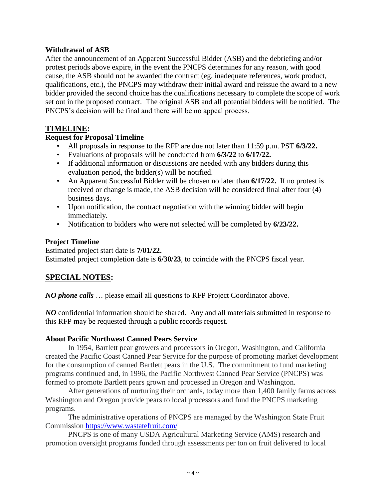#### **Withdrawal of ASB**

After the announcement of an Apparent Successful Bidder (ASB) and the debriefing and/or protest periods above expire, in the event the PNCPS determines for any reason, with good cause, the ASB should not be awarded the contract (eg. inadequate references, work product, qualifications, etc.), the PNCPS may withdraw their initial award and reissue the award to a new bidder provided the second choice has the qualifications necessary to complete the scope of work set out in the proposed contract. The original ASB and all potential bidders will be notified. The PNCPS's decision will be final and there will be no appeal process.

### **TIMELINE:**

#### **Request for Proposal Timeline**

- All proposals in response to the RFP are due not later than 11:59 p.m. PST **6/3/22.**
- Evaluations of proposals will be conducted from **6/3/22** to **6/17/22.**
- If additional information or discussions are needed with any bidders during this evaluation period, the bidder(s) will be notified.
- An Apparent Successful Bidder will be chosen no later than **6/17/22.** If no protest is received or change is made, the ASB decision will be considered final after four (4) business days.
- Upon notification, the contract negotiation with the winning bidder will begin immediately.
- Notification to bidders who were not selected will be completed by **6/23/22.**

#### **Project Timeline**

Estimated project start date is **7/01/22.** Estimated project completion date is **6/30/23**, to coincide with the PNCPS fiscal year.

### **SPECIAL NOTES:**

*NO phone calls* … please email all questions to RFP Project Coordinator above.

*NO* confidential information should be shared. Any and all materials submitted in response to this RFP may be requested through a public records request.

#### **About Pacific Northwest Canned Pears Service**

In 1954, Bartlett pear growers and processors in Oregon, Washington, and California created the Pacific Coast Canned Pear Service for the purpose of promoting market development for the consumption of canned Bartlett pears in the U.S. The commitment to fund marketing programs continued and, in 1996, the Pacific Northwest Canned Pear Service (PNCPS) was formed to promote Bartlett pears grown and processed in Oregon and Washington.

After generations of nurturing their orchards, today more than 1,400 family farms across Washington and Oregon provide pears to local processors and fund the PNCPS marketing programs.

The administrative operations of PNCPS are managed by the Washington State Fruit Commission<https://www.wastatefruit.com/>

PNCPS is one of many USDA Agricultural Marketing Service (AMS) research and promotion oversight programs funded through assessments per ton on fruit delivered to local